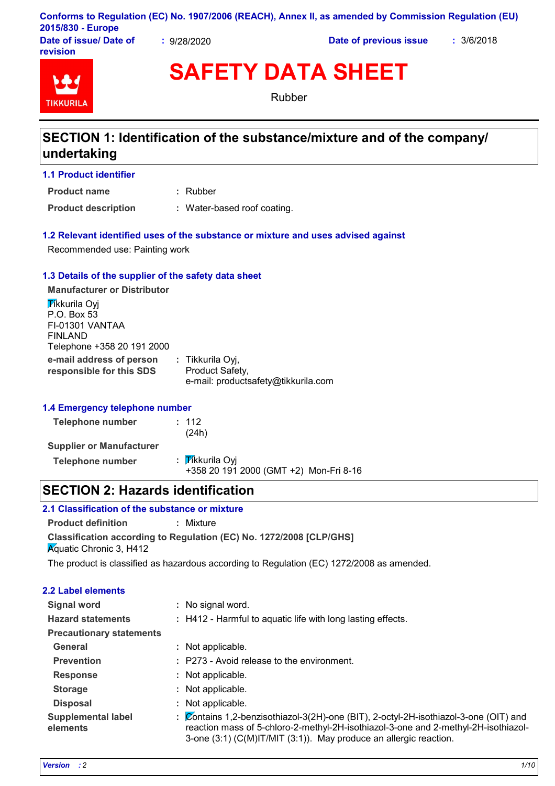| Conforms to Regulation (EC) No. 1907/2006 (REACH), Annex II, as amended by Commission Regulation (EU) |  |
|-------------------------------------------------------------------------------------------------------|--|
| 2015/830 - Europe                                                                                     |  |

**Date of issue/ Date of revision**

**:** 9/28/2020 **Date of previous issue :** 3/6/2018



**SAFETY DATA SHEET**

Rubber

# **SECTION 1: Identification of the substance/mixture and of the company/ undertaking**

**1.1 Product identifier**

**Product name**

**Product description :** Water-based roof coating.

### **1.2 Relevant identified uses of the substance or mixture and uses advised against**

Rubber **:**

Recommended use: Painting work

### **1.3 Details of the supplier of the safety data sheet**

**e-mail address of person responsible for this SDS :** Tikkurila Oyj, Product Safety, e-mail: productsafety@tikkurila.com **Manufacturer or Distributor Tikkurila Ovi** P.O. Box 53 FI-01301 VANTAA FINLAND Telephone +358 20 191 2000

### **1.4 Emergency telephone number**

| Telephone number                | : 112<br>(24h)                                            |
|---------------------------------|-----------------------------------------------------------|
| <b>Supplier or Manufacturer</b> |                                                           |
| Telephone number                | : Tikkurila Oyi<br>+358 20 191 2000 (GMT +2) Mon-Fri 8-16 |

# **SECTION 2: Hazards identification**

### **2.1 Classification of the substance or mixture**

**Classification according to Regulation (EC) No. 1272/2008 [CLP/GHS] Product definition :** Mixture **K**quatic Chronic 3, H412

The product is classified as hazardous according to Regulation (EC) 1272/2008 as amended.

| <b>2.2 Label elements</b>             |                                                                                                                                                                                                                                                 |
|---------------------------------------|-------------------------------------------------------------------------------------------------------------------------------------------------------------------------------------------------------------------------------------------------|
| <b>Signal word</b>                    | : No signal word.                                                                                                                                                                                                                               |
| <b>Hazard statements</b>              | : H412 - Harmful to aquatic life with long lasting effects.                                                                                                                                                                                     |
| <b>Precautionary statements</b>       |                                                                                                                                                                                                                                                 |
| General                               | : Not applicable.                                                                                                                                                                                                                               |
| <b>Prevention</b>                     | : P273 - Avoid release to the environment.                                                                                                                                                                                                      |
| <b>Response</b>                       | : Not applicable.                                                                                                                                                                                                                               |
| <b>Storage</b>                        | : Not applicable.                                                                                                                                                                                                                               |
| <b>Disposal</b>                       | : Not applicable.                                                                                                                                                                                                                               |
| <b>Supplemental label</b><br>elements | : Contains 1,2-benzisothiazol-3(2H)-one (BIT), 2-octyl-2H-isothiazol-3-one (OIT) and<br>reaction mass of 5-chloro-2-methyl-2H-isothiazol-3-one and 2-methyl-2H-isothiazol-<br>3-one (3:1) (C(M)IT/MIT (3:1)). May produce an allergic reaction. |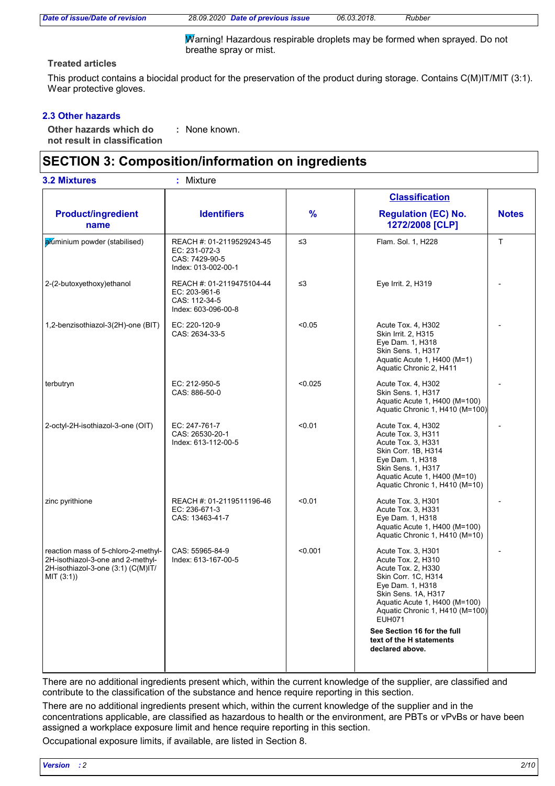*Date of issue/Date of revision 28.09.2020 Date of previous issue 06.03.2018. Rubber*

Warning! Hazardous respirable droplets may be formed when sprayed. Do not breathe spray or mist.

### **Treated articles**

This product contains a biocidal product for the preservation of the product during storage. Contains C(M)IT/MIT (3:1). Wear protective gloves.

### **2.3 Other hazards**

**Other hazards which do : not result in classification** : None known.

# **SECTION 3: Composition/information on ingredients**

| <b>3.2 Mixtures</b>                                                                                                          | : Mixture                                                                           |               |                                                                                                                                                                                                                       |              |
|------------------------------------------------------------------------------------------------------------------------------|-------------------------------------------------------------------------------------|---------------|-----------------------------------------------------------------------------------------------------------------------------------------------------------------------------------------------------------------------|--------------|
|                                                                                                                              |                                                                                     |               | <b>Classification</b>                                                                                                                                                                                                 |              |
| <b>Product/ingredient</b><br>name                                                                                            | <b>Identifiers</b>                                                                  | $\frac{9}{6}$ | <b>Regulation (EC) No.</b><br>1272/2008 [CLP]                                                                                                                                                                         | <b>Notes</b> |
| akuminium powder (stabilised)                                                                                                | REACH #: 01-2119529243-45<br>EC: 231-072-3<br>CAS: 7429-90-5<br>Index: 013-002-00-1 | $\leq$ 3      | Flam. Sol. 1, H228                                                                                                                                                                                                    | $\mathsf{T}$ |
| 2-(2-butoxyethoxy)ethanol                                                                                                    | REACH #: 01-2119475104-44<br>EC: 203-961-6<br>CAS: 112-34-5<br>Index: 603-096-00-8  | ≤3            | Eye Irrit. 2, H319                                                                                                                                                                                                    |              |
| 1,2-benzisothiazol-3(2H)-one (BIT)                                                                                           | EC: 220-120-9<br>CAS: 2634-33-5                                                     | < 0.05        | Acute Tox. 4, H302<br>Skin Irrit. 2, H315<br>Eye Dam. 1, H318<br>Skin Sens. 1, H317<br>Aquatic Acute 1, H400 (M=1)<br>Aquatic Chronic 2, H411                                                                         |              |
| terbutryn                                                                                                                    | EC: 212-950-5<br>CAS: 886-50-0                                                      | < 0.025       | Acute Tox. 4, H302<br><b>Skin Sens. 1. H317</b><br>Aquatic Acute 1, H400 (M=100)<br>Aquatic Chronic 1, H410 (M=100)                                                                                                   |              |
| 2-octyl-2H-isothiazol-3-one (OIT)                                                                                            | EC: 247-761-7<br>CAS: 26530-20-1<br>Index: 613-112-00-5                             | < 0.01        | Acute Tox. 4, H302<br>Acute Tox. 3, H311<br>Acute Tox. 3, H331<br>Skin Corr. 1B, H314<br>Eye Dam. 1, H318<br>Skin Sens. 1, H317<br>Aquatic Acute 1, H400 (M=10)<br>Aquatic Chronic 1, H410 (M=10)                     |              |
| zinc pyrithione                                                                                                              | REACH #: 01-2119511196-46<br>EC: 236-671-3<br>CAS: 13463-41-7                       | < 0.01        | Acute Tox. 3, H301<br>Acute Tox. 3, H331<br>Eye Dam. 1, H318<br>Aquatic Acute 1, H400 (M=100)<br>Aquatic Chronic 1, H410 (M=10)                                                                                       |              |
| reaction mass of 5-chloro-2-methyl-<br>2H-isothiazol-3-one and 2-methyl-<br>2H-isothiazol-3-one (3:1) (C(M)IT/<br>MIT (3:1)) | CAS: 55965-84-9<br>Index: 613-167-00-5                                              | < 0.001       | Acute Tox. 3, H301<br>Acute Tox. 2, H310<br>Acute Tox. 2, H330<br>Skin Corr. 1C, H314<br>Eye Dam. 1, H318<br>Skin Sens. 1A, H317<br>Aquatic Acute 1, H400 (M=100)<br>Aquatic Chronic 1, H410 (M=100)<br><b>EUH071</b> |              |
|                                                                                                                              |                                                                                     |               | See Section 16 for the full<br>text of the H statements<br>declared above.                                                                                                                                            |              |

There are no additional ingredients present which, within the current knowledge of the supplier, are classified and contribute to the classification of the substance and hence require reporting in this section.

There are no additional ingredients present which, within the current knowledge of the supplier and in the concentrations applicable, are classified as hazardous to health or the environment, are PBTs or vPvBs or have been assigned a workplace exposure limit and hence require reporting in this section.

Occupational exposure limits, if available, are listed in Section 8.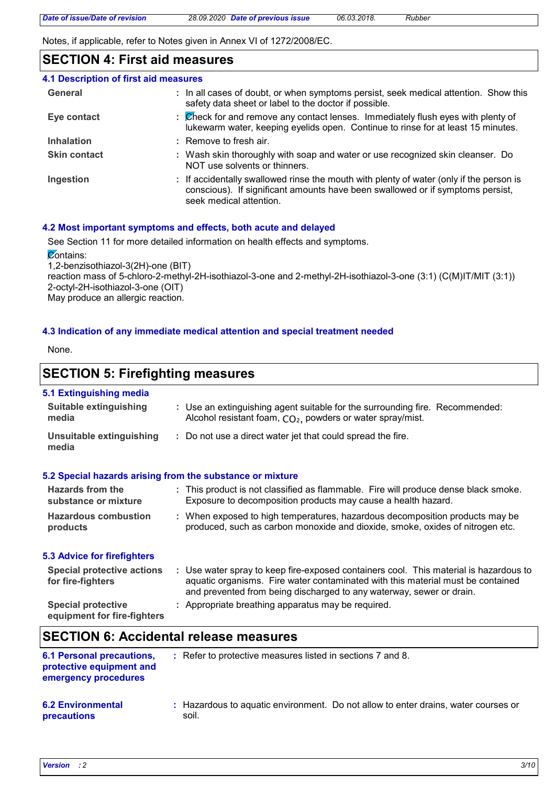Notes, if applicable, refer to Notes given in Annex VI of 1272/2008/EC.

# **SECTION 4: First aid measures**

| 4.1 Description of first aid measures |                                                                                                                                                                                                      |
|---------------------------------------|------------------------------------------------------------------------------------------------------------------------------------------------------------------------------------------------------|
| General                               | : In all cases of doubt, or when symptoms persist, seek medical attention. Show this<br>safety data sheet or label to the doctor if possible.                                                        |
| Eye contact                           | : Check for and remove any contact lenses. Immediately flush eyes with plenty of<br>lukewarm water, keeping eyelids open. Continue to rinse for at least 15 minutes.                                 |
| <b>Inhalation</b>                     | : Remove to fresh air.                                                                                                                                                                               |
| <b>Skin contact</b>                   | : Wash skin thoroughly with soap and water or use recognized skin cleanser. Do<br>NOT use solvents or thinners.                                                                                      |
| Ingestion                             | : If accidentally swallowed rinse the mouth with plenty of water (only if the person is<br>conscious). If significant amounts have been swallowed or if symptoms persist,<br>seek medical attention. |

### **4.2 Most important symptoms and effects, both acute and delayed**

See Section 11 for more detailed information on health effects and symptoms. **Contains:** 

1,2-benzisothiazol-3(2H)-one (BIT) reaction mass of 5-chloro-2-methyl-2H-isothiazol-3-one and 2-methyl-2H-isothiazol-3-one (3:1) (C(M)IT/MIT (3:1)) 2-octyl-2H-isothiazol-3-one (OIT)

May produce an allergic reaction.

### **4.3 Indication of any immediate medical attention and special treatment needed**

None.

## **SECTION 5: Firefighting measures**

### **5.1 Extinguishing media**

| <b>Suitable extinguishing</b><br>media                   | : Use an extinguishing agent suitable for the surrounding fire. Recommended:<br>Alcohol resistant foam, CO <sub>2</sub> , powders or water spray/mist.                                                                                           |
|----------------------------------------------------------|--------------------------------------------------------------------------------------------------------------------------------------------------------------------------------------------------------------------------------------------------|
| Unsuitable extinguishing<br>media                        | : Do not use a direct water jet that could spread the fire.                                                                                                                                                                                      |
|                                                          | 5.2 Special hazards arising from the substance or mixture                                                                                                                                                                                        |
| Hazards from the<br>substance or mixture                 | : This product is not classified as flammable. Fire will produce dense black smoke.<br>Exposure to decomposition products may cause a health hazard.                                                                                             |
| <b>Hazardous combustion</b><br>products                  | : When exposed to high temperatures, hazardous decomposition products may be<br>produced, such as carbon monoxide and dioxide, smoke, oxides of nitrogen etc.                                                                                    |
| 5.3 Advice for firefighters                              |                                                                                                                                                                                                                                                  |
| <b>Special protective actions</b><br>for fire-fighters   | : Use water spray to keep fire-exposed containers cool. This material is hazardous to<br>aquatic organisms. Fire water contaminated with this material must be contained<br>and prevented from being discharged to any waterway, sewer or drain. |
| <b>Special protective</b><br>equipment for fire-fighters | : Appropriate breathing apparatus may be required.                                                                                                                                                                                               |
| <b>OFOTION C. Assistanted releases</b>                   |                                                                                                                                                                                                                                                  |

### **SECTION 6: Accidental release measures**

| <b>6.1 Personal precautions,</b><br>protective equipment and<br>emergency procedures | : Refer to protective measures listed in sections 7 and 8.                                  |  |
|--------------------------------------------------------------------------------------|---------------------------------------------------------------------------------------------|--|
| <b>6.2 Environmental</b><br><b>precautions</b>                                       | : Hazardous to aguatic environment. Do not allow to enter drains, water courses or<br>soil. |  |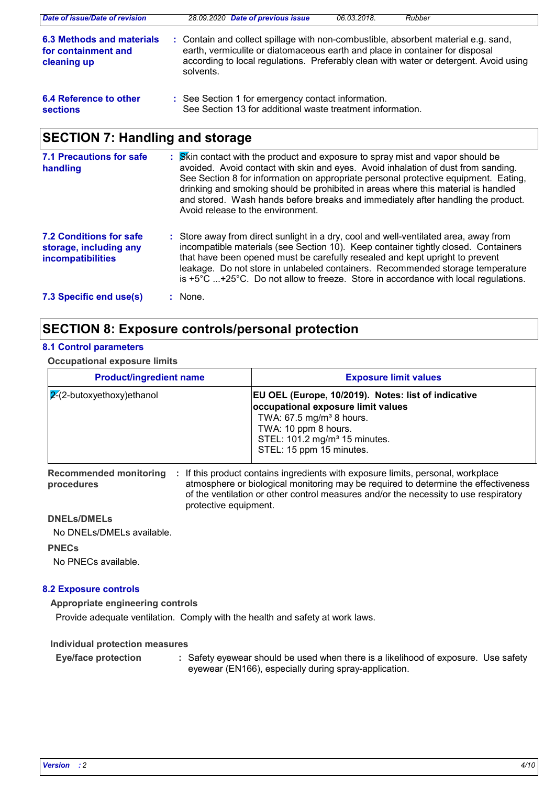| Date of issue/Date of revision                                  | 28.09.2020 Date of previous issue<br>06.03.2018.<br>Rubber                                                                                                                                                                                                               |  |
|-----------------------------------------------------------------|--------------------------------------------------------------------------------------------------------------------------------------------------------------------------------------------------------------------------------------------------------------------------|--|
| 6.3 Methods and materials<br>for containment and<br>cleaning up | : Contain and collect spillage with non-combustible, absorbent material e.g. sand,<br>earth, vermiculite or diatomaceous earth and place in container for disposal<br>according to local regulations. Preferably clean with water or detergent. Avoid using<br>solvents. |  |
| 6.4 Reference to other<br><b>sections</b>                       | : See Section 1 for emergency contact information.<br>See Section 13 for additional waste treatment information.                                                                                                                                                         |  |

# **SECTION 7: Handling and storage**

| <b>7.1 Precautions for safe</b><br>handling                                   | : Skin contact with the product and exposure to spray mist and vapor should be<br>avoided. Avoid contact with skin and eyes. Avoid inhalation of dust from sanding.<br>See Section 8 for information on appropriate personal protective equipment. Eating,<br>drinking and smoking should be prohibited in areas where this material is handled<br>and stored. Wash hands before breaks and immediately after handling the product.<br>Avoid release to the environment. |
|-------------------------------------------------------------------------------|--------------------------------------------------------------------------------------------------------------------------------------------------------------------------------------------------------------------------------------------------------------------------------------------------------------------------------------------------------------------------------------------------------------------------------------------------------------------------|
| <b>7.2 Conditions for safe</b><br>storage, including any<br>incompatibilities | : Store away from direct sunlight in a dry, cool and well-ventilated area, away from<br>incompatible materials (see Section 10). Keep container tightly closed. Containers<br>that have been opened must be carefully resealed and kept upright to prevent<br>leakage. Do not store in unlabeled containers. Recommended storage temperature<br>is $+5^{\circ}$ C $+25^{\circ}$ C. Do not allow to freeze. Store in accordance with local regulations.                   |
| 7.3 Specific end use(s)                                                       | : None.                                                                                                                                                                                                                                                                                                                                                                                                                                                                  |

# **SECTION 8: Exposure controls/personal protection**

### **8.1 Control parameters**

**Occupational exposure limits**

| <b>Product/ingredient name</b>      | <b>Exposure limit values</b>                                                                                                                                                                                                       |
|-------------------------------------|------------------------------------------------------------------------------------------------------------------------------------------------------------------------------------------------------------------------------------|
| $\sqrt{2}$ -(2-butoxyethoxy)ethanol | EU OEL (Europe, 10/2019). Notes: list of indicative<br>occupational exposure limit values<br>TWA: 67.5 mg/m <sup>3</sup> 8 hours.<br>TWA: 10 ppm 8 hours.<br>STEL: 101.2 mg/m <sup>3</sup> 15 minutes.<br>STEL: 15 ppm 15 minutes. |

Recommended monitoring : If this product contains ingredients with exposure limits, personal, workplace **procedures** atmosphere or biological monitoring may be required to determine the effectiveness of the ventilation or other control measures and/or the necessity to use respiratory protective equipment.

### **DNELs/DMELs**

No DNELs/DMELs available.

### **PNECs**

No PNECs available.

### **8.2 Exposure controls**

**Appropriate engineering controls**

Provide adequate ventilation. Comply with the health and safety at work laws.

### **Individual protection measures**

Safety eyewear should be used when there is a likelihood of exposure. Use safety eyewear (EN166), especially during spray-application. **Eye/face protection :**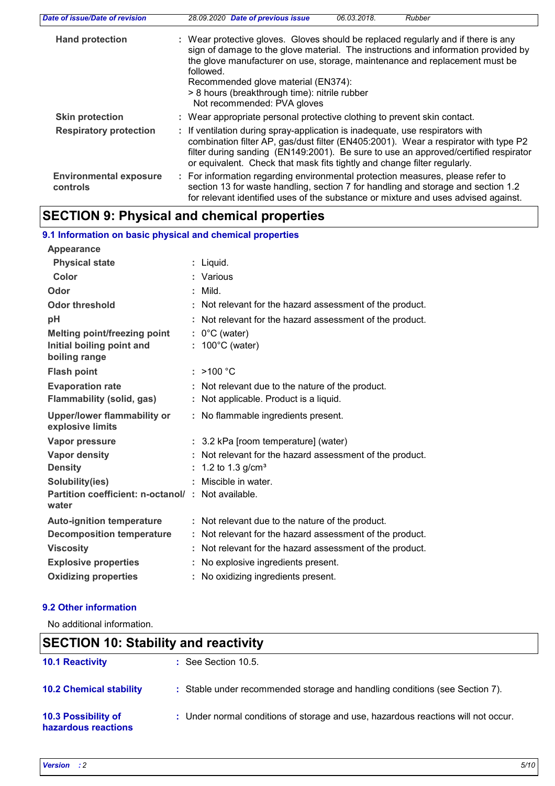| Date of issue/Date of revision            | 06.03.2018.<br>28.09.2020 Date of previous issue<br>Rubber                                                                                                                                                                                                                                                                                                                                 |
|-------------------------------------------|--------------------------------------------------------------------------------------------------------------------------------------------------------------------------------------------------------------------------------------------------------------------------------------------------------------------------------------------------------------------------------------------|
| <b>Hand protection</b>                    | : Wear protective gloves. Gloves should be replaced regularly and if there is any<br>sign of damage to the glove material. The instructions and information provided by<br>the glove manufacturer on use, storage, maintenance and replacement must be<br>followed.<br>Recommended glove material (EN374):<br>> 8 hours (breakthrough time): nitrile rubber<br>Not recommended: PVA gloves |
| <b>Skin protection</b>                    | : Wear appropriate personal protective clothing to prevent skin contact.                                                                                                                                                                                                                                                                                                                   |
| <b>Respiratory protection</b>             | : If ventilation during spray-application is inadequate, use respirators with<br>combination filter AP, gas/dust filter (EN405:2001). Wear a respirator with type P2<br>filter during sanding (EN149:2001). Be sure to use an approved/certified respirator<br>or equivalent. Check that mask fits tightly and change filter regularly.                                                    |
| <b>Environmental exposure</b><br>controls | : For information regarding environmental protection measures, please refer to<br>section 13 for waste handling, section 7 for handling and storage and section 1.2<br>for relevant identified uses of the substance or mixture and uses advised against.                                                                                                                                  |

# **SECTION 9: Physical and chemical properties**

| 9.1 Information on basic physical and chemical properties  |   |                                                          |
|------------------------------------------------------------|---|----------------------------------------------------------|
| <b>Appearance</b>                                          |   |                                                          |
| <b>Physical state</b>                                      |   | : Liquid.                                                |
| Color                                                      |   | : Various                                                |
| Odor                                                       | ٠ | Mild.                                                    |
| <b>Odor threshold</b>                                      | ٠ | Not relevant for the hazard assessment of the product.   |
| pH                                                         |   | Not relevant for the hazard assessment of the product.   |
| Melting point/freezing point                               |   | $: 0^{\circ}$ C (water)                                  |
| Initial boiling point and<br>boiling range                 |   | 100°C (water)                                            |
| <b>Flash point</b>                                         |   | : $>100 °C$                                              |
| <b>Evaporation rate</b>                                    |   | Not relevant due to the nature of the product.           |
| Flammability (solid, gas)                                  |   | : Not applicable. Product is a liquid.                   |
| <b>Upper/lower flammability or</b><br>explosive limits     |   | : No flammable ingredients present.                      |
| Vapor pressure                                             |   | : 3.2 kPa [room temperature] (water)                     |
| <b>Vapor density</b>                                       |   | Not relevant for the hazard assessment of the product.   |
|                                                            |   |                                                          |
| <b>Density</b>                                             |   | 1.2 to 1.3 $g/cm3$                                       |
| Solubility(ies)                                            |   | Miscible in water.                                       |
| Partition coefficient: n-octanol/: Not available.<br>water |   |                                                          |
| <b>Auto-ignition temperature</b>                           |   | : Not relevant due to the nature of the product.         |
| <b>Decomposition temperature</b>                           |   | : Not relevant for the hazard assessment of the product. |
| <b>Viscosity</b>                                           |   | Not relevant for the hazard assessment of the product.   |
| <b>Explosive properties</b>                                |   | No explosive ingredients present.                        |
| <b>Oxidizing properties</b>                                |   | No oxidizing ingredients present.                        |

### **9.2 Other information**

No additional information.

# **SECTION 10: Stability and reactivity**

| <b>10.1 Reactivity</b>                     | $\therefore$ See Section 10.5.                                                    |
|--------------------------------------------|-----------------------------------------------------------------------------------|
| <b>10.2 Chemical stability</b>             | : Stable under recommended storage and handling conditions (see Section 7).       |
| 10.3 Possibility of<br>hazardous reactions | : Under normal conditions of storage and use, hazardous reactions will not occur. |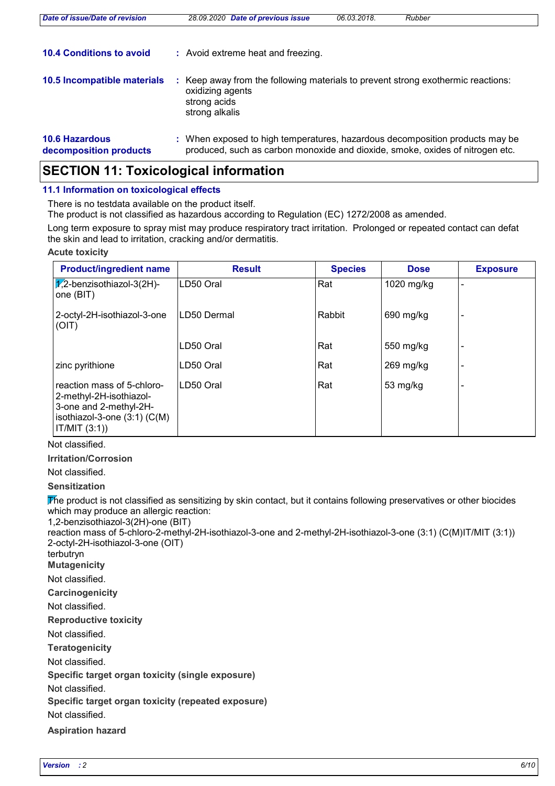| Date of issue/Date of revision                  | 28.09.2020 Date of previous issue                                                                                                                             | 06.03.2018. | Rubber |
|-------------------------------------------------|---------------------------------------------------------------------------------------------------------------------------------------------------------------|-------------|--------|
| <b>10.4 Conditions to avoid</b>                 | : Avoid extreme heat and freezing.                                                                                                                            |             |        |
| 10.5 Incompatible materials                     | Keep away from the following materials to prevent strong exothermic reactions:<br>oxidizing agents<br>strong acids<br>strong alkalis                          |             |        |
| <b>10.6 Hazardous</b><br>decomposition products | : When exposed to high temperatures, hazardous decomposition products may be<br>produced, such as carbon monoxide and dioxide, smoke, oxides of nitrogen etc. |             |        |

# **SECTION 11: Toxicological information**

### **11.1 Information on toxicological effects**

There is no testdata available on the product itself.

The product is not classified as hazardous according to Regulation (EC) 1272/2008 as amended.

Long term exposure to spray mist may produce respiratory tract irritation. Prolonged or repeated contact can defat the skin and lead to irritation, cracking and/or dermatitis.

### **Acute toxicity**

| <b>Product/ingredient name</b>                                                                                                       | <b>Result</b> | <b>Species</b> | <b>Dose</b> | <b>Exposure</b> |
|--------------------------------------------------------------------------------------------------------------------------------------|---------------|----------------|-------------|-----------------|
| $\chi$ 2-benzisothiazol-3(2H)-<br>one (BIT)                                                                                          | LD50 Oral     | Rat            | 1020 mg/kg  |                 |
| 2-octyl-2H-isothiazol-3-one<br>(OIT)                                                                                                 | LD50 Dermal   | Rabbit         | 690 mg/kg   |                 |
|                                                                                                                                      | LD50 Oral     | Rat            | 550 mg/kg   |                 |
| zinc pyrithione                                                                                                                      | LD50 Oral     | Rat            | $269$ mg/kg |                 |
| reaction mass of 5-chloro-<br>2-methyl-2H-isothiazol-<br>3-one and 2-methyl-2H-<br>isothiazol-3-one $(3:1)$ $(C(M))$<br>IT/MIT (3:1) | LD50 Oral     | Rat            | 53 mg/kg    |                 |

### Not classified.

**Irritation/Corrosion**

### Not classified.

**Sensitization**

The product is not classified as sensitizing by skin contact, but it contains following preservatives or other biocides which may produce an allergic reaction:

1,2-benzisothiazol-3(2H)-one (BIT)

reaction mass of 5-chloro-2-methyl-2H-isothiazol-3-one and 2-methyl-2H-isothiazol-3-one (3:1) (C(M)IT/MIT (3:1)) 2-octyl-2H-isothiazol-3-one (OIT)

terbutryn

**Mutagenicity** Not classified.

**Carcinogenicity**

Not classified.

**Reproductive toxicity**

Not classified.

**Teratogenicity**

Not classified.

**Specific target organ toxicity (single exposure)**

Not classified.

**Specific target organ toxicity (repeated exposure)**

Not classified.

**Aspiration hazard**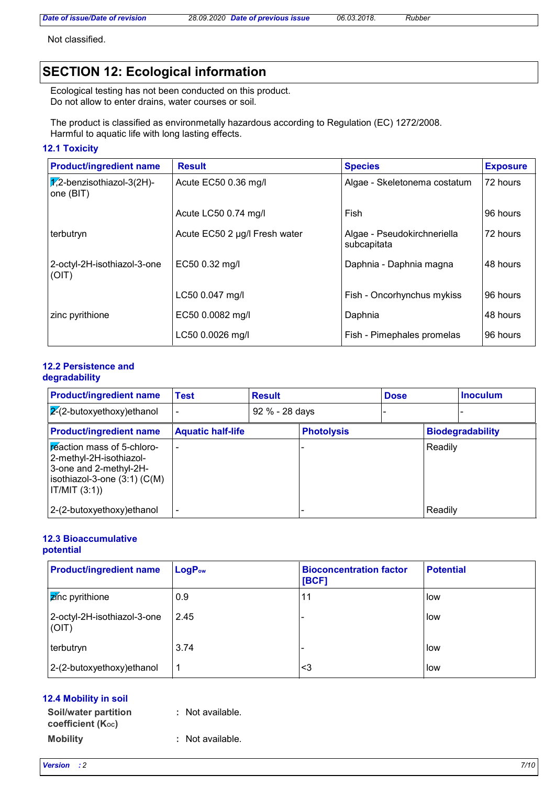*Date of issue/Date of revision 28.09.2020 Date of previous issue 06.03.2018. Rubber*

Not classified.

# **SECTION 12: Ecological information**

Ecological testing has not been conducted on this product. Do not allow to enter drains, water courses or soil.

The product is classified as environmetally hazardous according to Regulation (EC) 1272/2008. Harmful to aquatic life with long lasting effects.

### **12.1 Toxicity**

| <b>Product/ingredient name</b>                       | <b>Result</b>                 | <b>Species</b>                             | <b>Exposure</b> |
|------------------------------------------------------|-------------------------------|--------------------------------------------|-----------------|
| $ \mathcal{J}_2$ -benzisothiazol-3(2H)-<br>one (BIT) | Acute EC50 0.36 mg/l          | Algae - Skeletonema costatum               | 172 hours       |
|                                                      | Acute LC50 0.74 mg/l          | Fish                                       | 96 hours        |
| terbutryn                                            | Acute EC50 2 µg/l Fresh water | Algae - Pseudokirchneriella<br>subcapitata | 72 hours        |
| 2-octyl-2H-isothiazol-3-one<br>(OIT)                 | EC50 0.32 mg/l                | Daphnia - Daphnia magna                    | 48 hours        |
|                                                      | LC50 0.047 mg/l               | Fish - Oncorhynchus mykiss                 | l 96 hours      |
| zinc pyrithione                                      | EC50 0.0082 mg/l              | Daphnia                                    | 48 hours        |
|                                                      | LC50 0.0026 mg/l              | Fish - Pimephales promelas                 | 96 hours        |

### **12.2 Persistence and degradability**

| <b>Product/ingredient name</b>                                                                                                              | Test                     | <b>Result</b>  |                   | <b>Dose</b> |         | <b>Inoculum</b>         |
|---------------------------------------------------------------------------------------------------------------------------------------------|--------------------------|----------------|-------------------|-------------|---------|-------------------------|
| $\sqrt{2}$ -butoxyethoxy)ethanol                                                                                                            |                          | 92 % - 28 days |                   |             |         |                         |
| <b>Product/ingredient name</b>                                                                                                              | <b>Aquatic half-life</b> |                | <b>Photolysis</b> |             |         | <b>Biodegradability</b> |
| <b>Exection mass of 5-chloro-</b><br>2-methyl-2H-isothiazol-<br>3-one and 2-methyl-2H-<br>isothiazol-3-one $(3:1)$ $(C(M))$<br>IT/MIT (3:1) |                          |                |                   |             | Readily |                         |
| 2-(2-butoxyethoxy)ethanol                                                                                                                   |                          |                |                   |             | Readily |                         |

### **12.3 Bioaccumulative potential**

| <b>Product/ingredient name</b>       | LogP <sub>ow</sub> | <b>Bioconcentration factor</b><br>[BCF] | <b>Potential</b> |
|--------------------------------------|--------------------|-----------------------------------------|------------------|
| <b>Z</b> inc pyrithione              | 0.9                | 11                                      | low              |
| 2-octyl-2H-isothiazol-3-one<br>(OIT) | 2.45               |                                         | low              |
| terbutryn                            | 3.74               |                                         | low              |
| 2-(2-butoxyethoxy) ethanol           | 1                  | <3                                      | low              |

### **12.4 Mobility in soil**

| <b>Soil/water partition</b><br>coefficient (Koc) | : Not available. |
|--------------------------------------------------|------------------|
| <b>Mobility</b>                                  | : Not available. |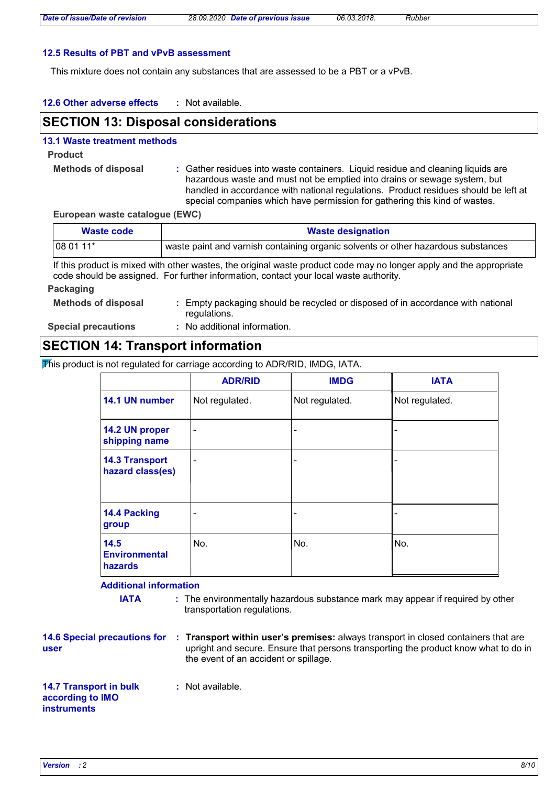### **12.5 Results of PBT and vPvB assessment**

This mixture does not contain any substances that are assessed to be a PBT or a vPvB.

#### **12.6 Other adverse effects :**

# **SECTION 13: Disposal considerations**

### **13.1 Waste treatment methods**

**Product**

- **Methods of disposal :**
- Gather residues into waste containers. Liquid residue and cleaning liquids are hazardous waste and must not be emptied into drains or sewage system, but handled in accordance with national regulations. Product residues should be left at special companies which have permission for gathering this kind of wastes.

### **European waste catalogue (EWC)**

| Waste code | <b>Waste designation</b>                                                          |
|------------|-----------------------------------------------------------------------------------|
| $1080111*$ | waste paint and varnish containing organic solvents or other hazardous substances |

If this product is mixed with other wastes, the original waste product code may no longer apply and the appropriate code should be assigned. For further information, contact your local waste authority.

### **Packaging**

- **Methods of disposal :** Empty packaging should be recycled or disposed of in accordance with national regulations.
- **Special precautions :**
- No additional information.

# **SECTION 14: Transport information**

This product is not regulated for carriage according to ADR/RID, IMDG, IATA.

|                                                | <b>ADR/RID</b>           | <b>IMDG</b>              | <b>IATA</b>    |
|------------------------------------------------|--------------------------|--------------------------|----------------|
| 14.1 UN number                                 | Not regulated.           | Not regulated.           | Not regulated. |
| 14.2 UN proper<br>shipping name                | $\overline{\phantom{0}}$ | -                        |                |
| <b>14.3 Transport</b><br>hazard class(es)      | $\overline{\phantom{0}}$ | -                        |                |
| 14.4 Packing<br>group                          |                          | $\overline{\phantom{a}}$ |                |
| 14.5<br><b>Environmental</b><br><b>hazards</b> | No.                      | No.                      | No.            |

### **Additional information**

- **IATA** : The environmentally hazardous substance mark may appear if required by other transportation regulations.
- **user**
- **14.6 Special precautions for : Transport within user's premises: always transport in closed containers that are** upright and secure. Ensure that persons transporting the product know what to do in the event of an accident or spillage.

### **14.7 Transport in bulk according to IMO instruments :** Not available.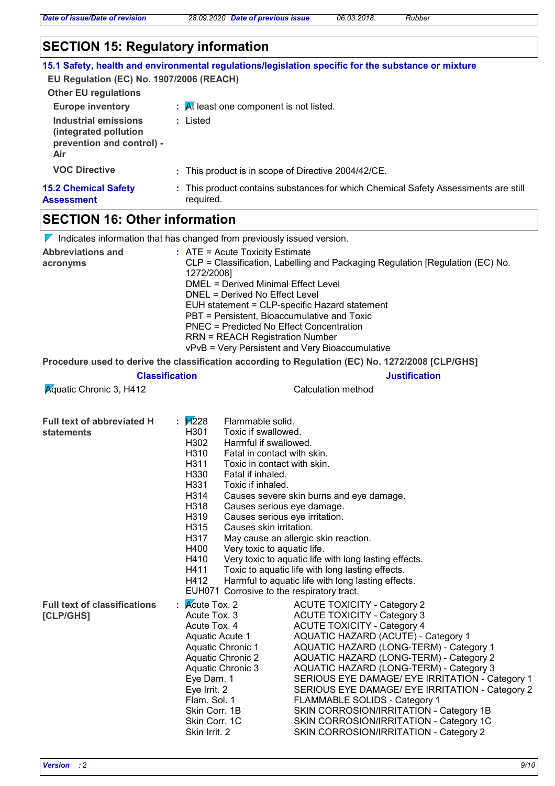*Date of issue/Date of revision 28.09.2020 Date of previous issue 06.03.2018. Rubber*

| <b>SECTION 15: Regulatory information</b>                                                |                                                                                                                                                                                                                                                                                                                                                                                                                                                                                                                                                                                                                                                                                                                                                       |
|------------------------------------------------------------------------------------------|-------------------------------------------------------------------------------------------------------------------------------------------------------------------------------------------------------------------------------------------------------------------------------------------------------------------------------------------------------------------------------------------------------------------------------------------------------------------------------------------------------------------------------------------------------------------------------------------------------------------------------------------------------------------------------------------------------------------------------------------------------|
|                                                                                          | 15.1 Safety, health and environmental regulations/legislation specific for the substance or mixture                                                                                                                                                                                                                                                                                                                                                                                                                                                                                                                                                                                                                                                   |
| EU Regulation (EC) No. 1907/2006 (REACH)<br><b>Other EU regulations</b>                  |                                                                                                                                                                                                                                                                                                                                                                                                                                                                                                                                                                                                                                                                                                                                                       |
| <b>Europe inventory</b>                                                                  | $\mathcal{A}$ R least one component is not listed.                                                                                                                                                                                                                                                                                                                                                                                                                                                                                                                                                                                                                                                                                                    |
| <b>Industrial emissions</b><br>(integrated pollution<br>prevention and control) -<br>Air | : Listed                                                                                                                                                                                                                                                                                                                                                                                                                                                                                                                                                                                                                                                                                                                                              |
| <b>VOC Directive</b>                                                                     | : This product is in scope of Directive 2004/42/CE.                                                                                                                                                                                                                                                                                                                                                                                                                                                                                                                                                                                                                                                                                                   |
| <b>15.2 Chemical Safety</b><br><b>Assessment</b>                                         | : This product contains substances for which Chemical Safety Assessments are still<br>required.                                                                                                                                                                                                                                                                                                                                                                                                                                                                                                                                                                                                                                                       |
| <b>SECTION 16: Other information</b>                                                     |                                                                                                                                                                                                                                                                                                                                                                                                                                                                                                                                                                                                                                                                                                                                                       |
|                                                                                          | $\nabla$ Indicates information that has changed from previously issued version.                                                                                                                                                                                                                                                                                                                                                                                                                                                                                                                                                                                                                                                                       |
| <b>Abbreviations and</b><br>acronyms                                                     | $:$ ATE = Acute Toxicity Estimate<br>CLP = Classification, Labelling and Packaging Regulation [Regulation (EC) No.<br>1272/2008]<br><b>DMEL = Derived Minimal Effect Level</b><br>DNEL = Derived No Effect Level<br>EUH statement = CLP-specific Hazard statement<br>PBT = Persistent, Bioaccumulative and Toxic<br><b>PNEC = Predicted No Effect Concentration</b><br><b>RRN = REACH Registration Number</b><br>vPvB = Very Persistent and Very Bioaccumulative                                                                                                                                                                                                                                                                                      |
|                                                                                          | Procedure used to derive the classification according to Regulation (EC) No. 1272/2008 [CLP/GHS]                                                                                                                                                                                                                                                                                                                                                                                                                                                                                                                                                                                                                                                      |
| <b>Classification</b>                                                                    | <b>Justification</b>                                                                                                                                                                                                                                                                                                                                                                                                                                                                                                                                                                                                                                                                                                                                  |
| <b>Aguatic Chronic 3, H412</b>                                                           | <b>Calculation method</b>                                                                                                                                                                                                                                                                                                                                                                                                                                                                                                                                                                                                                                                                                                                             |
| <b>Full text of abbreviated H</b><br>statements                                          | : $\cancel{H}$ 228<br>Flammable solid.<br>Toxic if swallowed.<br>H301<br>H302<br>Harmful if swallowed.<br>H310<br>Fatal in contact with skin.<br>H311<br>Toxic in contact with skin.<br>H330<br>Fatal if inhaled.<br>H331<br>Toxic if inhaled.<br>H314<br>Causes severe skin burns and eye damage.<br>H318<br>Causes serious eye damage.<br>H319<br>Causes serious eye irritation.<br>H315<br>Causes skin irritation.<br>H317<br>May cause an allergic skin reaction.<br>H400<br>Very toxic to aquatic life.<br>H410<br>Very toxic to aquatic life with long lasting effects.<br>H411<br>Toxic to aquatic life with long lasting effects.<br>H412<br>Harmful to aquatic life with long lasting effects.<br>EUH071 Corrosive to the respiratory tract. |
| <b>Full text of classifications</b><br>[CLP/GHS]                                         | <b>Acute Tox. 2</b><br><b>ACUTE TOXICITY - Category 2</b><br>Acute Tox. 3<br><b>ACUTE TOXICITY - Category 3</b><br>Acute Tox. 4<br><b>ACUTE TOXICITY - Category 4</b><br><b>AQUATIC HAZARD (ACUTE) - Category 1</b><br><b>Aquatic Acute 1</b><br><b>Aquatic Chronic 1</b><br>AQUATIC HAZARD (LONG-TERM) - Category 1<br><b>Aquatic Chronic 2</b><br>AQUATIC HAZARD (LONG-TERM) - Category 2<br><b>Aquatic Chronic 3</b><br>AQUATIC HAZARD (LONG-TERM) - Category 3<br>Eye Dam. 1<br>SERIOUS EYE DAMAGE/ EYE IRRITATION - Category 1                                                                                                                                                                                                                   |

Eye Dam. 1 SERIOUS EYE DAMAGE/ EYE IRRITATION - Category 1<br>Eye Irrit. 2 SERIOUS EYE DAMAGE/ EYE IRRITATION - Category 2 Eye Irrit. 2 SERIOUS EYE DAMAGE/ EYE IRRITATION - Category 2<br>Flam. Sol. 1 FLAMMABLE SOLIDS - Category 1

SKIN CORROSION/IRRITATION - Category 1C

Skin Corr. 1B SKIN CORROSION/IRRITATION - Category 1B<br>Skin Corr. 1C SKIN CORROSION/IRRITATION - Category 1C

Skin Irrit. 2 SKIN CORROSION/IRRITATION - Category 2

Flam. Sol. 1 FLAMMABLE SOLIDS - Category 1<br>Skin Corr. 1B SKIN CORROSION/IRRITATION -